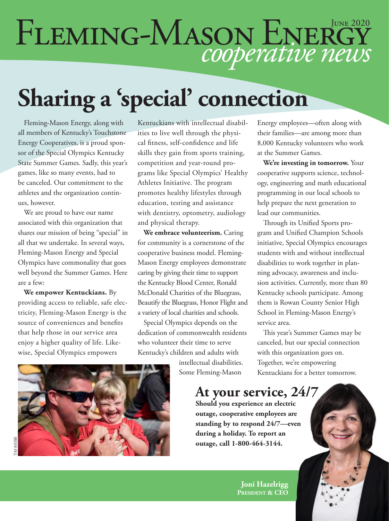# FLEMING-MASON ENERGY

## **Sharing a 'special' connection**

Fleming-Mason Energy, along with all members of Kentucky's Touchstone Energy Cooperatives, is a proud sponsor of the Special Olympics Kentucky State Summer Games. Sadly, this year's games, like so many events, had to be canceled. Our commitment to the athletes and the organization continues, however.

We are proud to have our name associated with this organization that shares our mission of being "special" in all that we undertake. In several ways, Fleming-Mason Energy and Special Olympics have commonality that goes well beyond the Summer Games. Here are a few:

**We empower Kentuckians.** By providing access to reliable, safe electricity, Fleming-Mason Energy is the source of conveniences and benefits that help those in our service area enjoy a higher quality of life. Likewise, Special Olympics empowers

Kentuckians with intellectual disabilities to live well through the physical fitness, self-confidence and life skills they gain from sports training, competition and year-round programs like Special Olympics' Healthy Athletes Initiative. The program promotes healthy lifestyles through education, testing and assistance with dentistry, optometry, audiology and physical therapy.

**We embrace volunteerism.** Caring for community is a cornerstone of the cooperative business model. Fleming-Mason Energy employees demonstrate caring by giving their time to support the Kentucky Blood Center, Ronald McDonald Charities of the Bluegrass, Beautify the Bluegrass, Honor Flight and a variety of local charities and schools.

Special Olympics depends on the dedication of commonwealth residents who volunteer their time to serve Kentucky's children and adults with

> intellectual disabilities. Some Fleming-Mason

Energy employees—often along with their families—are among more than 8,000 Kentucky volunteers who work at the Summer Games.

**We're investing in tomorrow.** Your cooperative supports science, technology, engineering and math educational programming in our local schools to help prepare the next generation to lead our communities.

Through its Unified Sports program and Unified Champion Schools initiative, Special Olympics encourages students with and without intellectual disabilities to work together in planning advocacy, awareness and inclusion activities. Currently, more than 80 Kentucky schools participate. Among them is Rowan County Senior High School in Fleming-Mason Energy's service area.

This year's Summer Games may be canceled, but our special connection with this organization goes on. Together, we're empowering Kentuckians for a better tomorrow.



**At your service, 24/7**

**Should you experience an electric outage, cooperative employees are standing by to respond 24/7—even during a holiday. To report an outage, call 1-800-464-3144.**

> **Joni Hazelrigg President & CEO**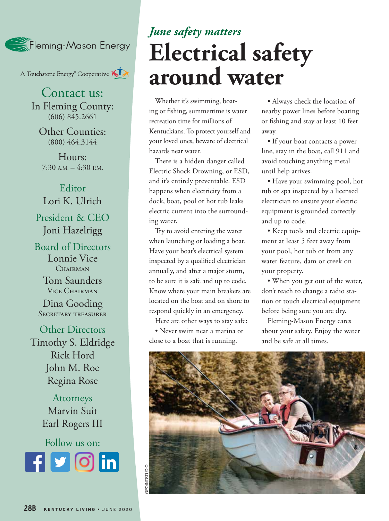

A Touchstone Energy<sup>®</sup> Cooperative A

Contact us: In Fleming County: (606) 845.2661

Other Counties: (800) 464.3144

Hours:  $7:30$  A.M.  $-4:30$  P.M.

Editor Lori K. Ulrich President & CEO Joni Hazelrigg

Board of Directors Lonnie Vice CHAIRMAN

> Tom Saunders Vice Chairman

Dina Gooding Secretary treasurer

Other Directors Timothy S. Eldridge Rick Hord John M. Roe Regina Rose

> Attorneys Marvin Suit Earl Rogers III

Follow us on: **Rounded square** Only use blue and/or white. For more details check out our Brand Guidelines.

#### *June safety matters* **Electrical safety around water**

Whether it's swimming, boating or fishing, summertime is water recreation time for millions of Kentuckians. To protect yourself and your loved ones, beware of electrical hazards near water.

There is a hidden danger called Electric Shock Drowning, or ESD, and it's entirely preventable. ESD happens when electricity from a dock, boat, pool or hot tub leaks electric current into the surrounding water.

Try to avoid entering the water when launching or loading a boat. Have your boat's electrical system inspected by a qualified electrician annually, and after a major storm, to be sure it is safe and up to code. Know where your main breakers are located on the boat and on shore to respond quickly in an emergency.

Here are other ways to stay safe:

• Never swim near a marina or close to a boat that is running.

• Always check the location of nearby power lines before boating or fishing and stay at least 10 feet away.

• If your boat contacts a power line, stay in the boat, call 911 and avoid touching anything metal until help arrives.

• Have your swimming pool, hot tub or spa inspected by a licensed electrician to ensure your electric equipment is grounded correctly and up to code.

• Keep tools and electric equipment at least 5 feet away from your pool, hot tub or from any water feature, dam or creek on your property.

• When you get out of the water, don't reach to change a radio station or touch electrical equipment before being sure you are dry.

Fleming-Mason Energy cares about your safety. Enjoy the water and be safe at all times.

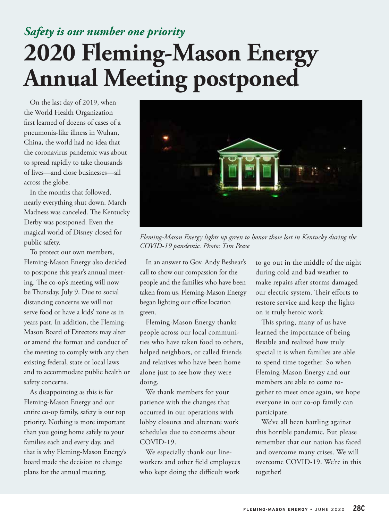#### *Safety is our number one priority*  **2020 Fleming-Mason Energy Annual Meeting postponed**

On the last day of 2019, when the World Health Organization first learned of dozens of cases of a pneumonia-like illness in Wuhan, China, the world had no idea that the coronavirus pandemic was about to spread rapidly to take thousands of lives—and close businesses—all across the globe.

In the months that followed, nearly everything shut down. March Madness was canceled. The Kentucky Derby was postponed. Even the magical world of Disney closed for public safety.

To protect our own members, Fleming-Mason Energy also decided to postpone this year's annual meeting. The co-op's meeting will now be Thursday, July 9. Due to social distancing concerns we will not serve food or have a kids' zone as in years past. In addition, the Fleming-Mason Board of Directors may alter or amend the format and conduct of the meeting to comply with any then existing federal, state or local laws and to accommodate public health or safety concerns.

As disappointing as this is for Fleming-Mason Energy and our entire co-op family, safety is our top priority. Nothing is more important than you going home safely to your families each and every day, and that is why Fleming-Mason Energy's board made the decision to change plans for the annual meeting.



*Fleming-Mason Energy lights up green to honor those lost in Kentucky during the COVID-19 pandemic. Photo: Tim Pease*

In an answer to Gov. Andy Beshear's call to show our compassion for the people and the families who have been taken from us, Fleming-Mason Energy began lighting our office location green.

Fleming-Mason Energy thanks people across our local communities who have taken food to others, helped neighbors, or called friends and relatives who have been home alone just to see how they were doing.

We thank members for your patience with the changes that occurred in our operations with lobby closures and alternate work schedules due to concerns about COVID-19.

We especially thank our lineworkers and other field employees who kept doing the difficult work

to go out in the middle of the night during cold and bad weather to make repairs after storms damaged our electric system. Their efforts to restore service and keep the lights on is truly heroic work.

This spring, many of us have learned the importance of being flexible and realized how truly special it is when families are able to spend time together. So when Fleming-Mason Energy and our members are able to come together to meet once again, we hope everyone in our co-op family can participate.

We've all been battling against this horrible pandemic. But please remember that our nation has faced and overcome many crises. We will overcome COVID-19. We're in this together!